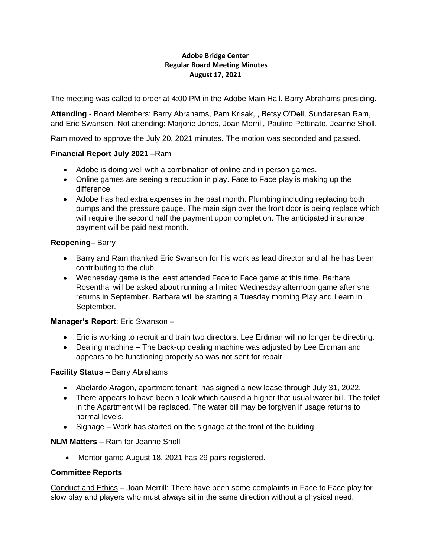### **Adobe Bridge Center Regular Board Meeting Minutes August 17, 2021**

The meeting was called to order at 4:00 PM in the Adobe Main Hall. Barry Abrahams presiding.

**Attending** - Board Members: Barry Abrahams, Pam Krisak, , Betsy O'Dell, Sundaresan Ram, and Eric Swanson. Not attending: Marjorie Jones, Joan Merrill, Pauline Pettinato, Jeanne Sholl.

Ram moved to approve the July 20, 2021 minutes. The motion was seconded and passed.

## **Financial Report July 2021** –Ram

- Adobe is doing well with a combination of online and in person games.
- Online games are seeing a reduction in play. Face to Face play is making up the difference.
- Adobe has had extra expenses in the past month. Plumbing including replacing both pumps and the pressure gauge. The main sign over the front door is being replace which will require the second half the payment upon completion. The anticipated insurance payment will be paid next month.

## **Reopening**– Barry

- Barry and Ram thanked Eric Swanson for his work as lead director and all he has been contributing to the club.
- Wednesday game is the least attended Face to Face game at this time. Barbara Rosenthal will be asked about running a limited Wednesday afternoon game after she returns in September. Barbara will be starting a Tuesday morning Play and Learn in September.

# **Manager's Report**: Eric Swanson –

- Eric is working to recruit and train two directors. Lee Erdman will no longer be directing.
- Dealing machine The back-up dealing machine was adjusted by Lee Erdman and appears to be functioning properly so was not sent for repair.

### **Facility Status –** Barry Abrahams

- Abelardo Aragon, apartment tenant, has signed a new lease through July 31, 2022.
- There appears to have been a leak which caused a higher that usual water bill. The toilet in the Apartment will be replaced. The water bill may be forgiven if usage returns to normal levels.
- Signage Work has started on the signage at the front of the building.

### **NLM Matters** – Ram for Jeanne Sholl

• Mentor game August 18, 2021 has 29 pairs registered.

### **Committee Reports**

Conduct and Ethics – Joan Merrill: There have been some complaints in Face to Face play for slow play and players who must always sit in the same direction without a physical need.